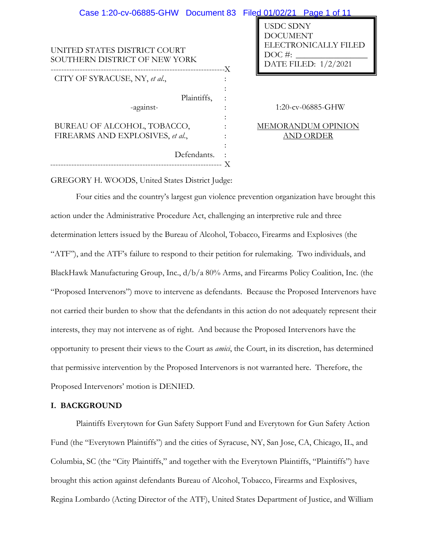| Case 1:20-cv-06885-GHW Document 83 Filed 01/02/21 Page 1 of 11  |                                                                                                |
|-----------------------------------------------------------------|------------------------------------------------------------------------------------------------|
| UNITED STATES DISTRICT COURT<br>SOUTHERN DISTRICT OF NEW YORK   | <b>USDC SDNY</b><br><b>DOCUMENT</b><br>ELECTRONICALLY FILED<br>$DOC\#$<br>DATE FILED: 1/2/2021 |
| CITY OF SYRACUSE, NY, et al.,                                   |                                                                                                |
| Plaintiffs,<br>-against-                                        | 1:20-cv-06885-GHW                                                                              |
| BUREAU OF ALCOHOL, TOBACCO,<br>FIREARMS AND EXPLOSIVES, et al., | <b>MEMORANDUM OPINION</b><br><b>AND ORDER</b>                                                  |
| Defendants.                                                     |                                                                                                |

GREGORY H. WOODS, United States District Judge:

Four cities and the country's largest gun violence prevention organization have brought this action under the Administrative Procedure Act, challenging an interpretive rule and three determination letters issued by the Bureau of Alcohol, Tobacco, Firearms and Explosives (the "ATF"), and the ATF's failure to respond to their petition for rulemaking. Two individuals, and BlackHawk Manufacturing Group, Inc., d/b/a 80% Arms, and Firearms Policy Coalition, Inc. (the "Proposed Intervenors") move to intervene as defendants. Because the Proposed Intervenors have not carried their burden to show that the defendants in this action do not adequately represent their interests, they may not intervene as of right. And because the Proposed Intervenors have the opportunity to present their views to the Court as *amici*, the Court, in its discretion, has determined that permissive intervention by the Proposed Intervenors is not warranted here. Therefore, the Proposed Intervenors' motion is DENIED.

# **I. BACKGROUND**

Plaintiffs Everytown for Gun Safety Support Fund and Everytown for Gun Safety Action Fund (the "Everytown Plaintiffs") and the cities of Syracuse, NY, San Jose, CA, Chicago, IL, and Columbia, SC (the "City Plaintiffs," and together with the Everytown Plaintiffs, "Plaintiffs") have brought this action against defendants Bureau of Alcohol, Tobacco, Firearms and Explosives, Regina Lombardo (Acting Director of the ATF), United States Department of Justice, and William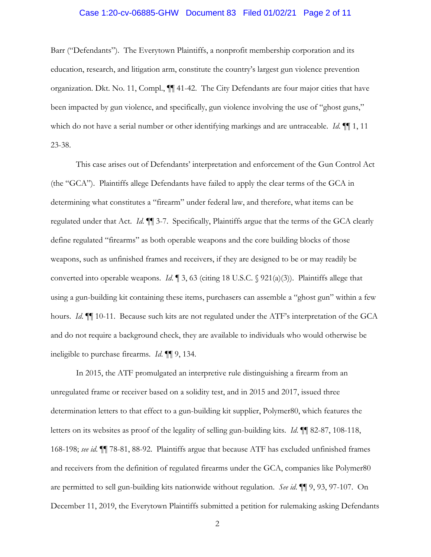## Case 1:20-cv-06885-GHW Document 83 Filed 01/02/21 Page 2 of 11

Barr ("Defendants"). The Everytown Plaintiffs, a nonprofit membership corporation and its education, research, and litigation arm, constitute the country's largest gun violence prevention organization. Dkt. No. 11, Compl., ¶¶ 41-42. The City Defendants are four major cities that have been impacted by gun violence, and specifically, gun violence involving the use of "ghost guns," which do not have a serial number or other identifying markings and are untraceable. *Id*. ¶¶ 1, 11 23-38.

This case arises out of Defendants' interpretation and enforcement of the Gun Control Act (the "GCA"). Plaintiffs allege Defendants have failed to apply the clear terms of the GCA in determining what constitutes a "firearm" under federal law, and therefore, what items can be regulated under that Act. *Id*. ¶¶ 3-7. Specifically, Plaintiffs argue that the terms of the GCA clearly define regulated "firearms" as both operable weapons and the core building blocks of those weapons, such as unfinished frames and receivers, if they are designed to be or may readily be converted into operable weapons. *Id*. ¶ 3, 63 (citing 18 U.S.C. § 921(a)(3)). Plaintiffs allege that using a gun-building kit containing these items, purchasers can assemble a "ghost gun" within a few hours. *Id*. ¶¶ 10-11. Because such kits are not regulated under the ATF's interpretation of the GCA and do not require a background check, they are available to individuals who would otherwise be ineligible to purchase firearms. *Id*. ¶¶ 9, 134.

In 2015, the ATF promulgated an interpretive rule distinguishing a firearm from an unregulated frame or receiver based on a solidity test, and in 2015 and 2017, issued three determination letters to that effect to a gun-building kit supplier, Polymer80, which features the letters on its websites as proof of the legality of selling gun-building kits. *Id*. ¶¶ 82-87, 108-118, 168-198; *see id*. ¶¶ 78-81, 88-92. Plaintiffs argue that because ATF has excluded unfinished frames and receivers from the definition of regulated firearms under the GCA, companies like Polymer80 are permitted to sell gun-building kits nationwide without regulation. *See id*. ¶¶ 9, 93, 97-107. On December 11, 2019, the Everytown Plaintiffs submitted a petition for rulemaking asking Defendants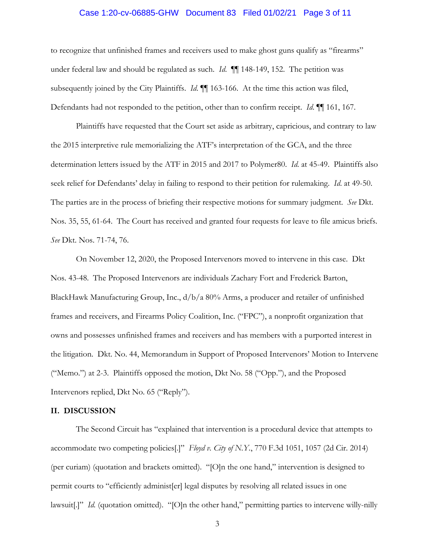## Case 1:20-cv-06885-GHW Document 83 Filed 01/02/21 Page 3 of 11

to recognize that unfinished frames and receivers used to make ghost guns qualify as "firearms" under federal law and should be regulated as such. *Id.* **[1**] 148-149, 152. The petition was subsequently joined by the City Plaintiffs. *Id*. ¶¶ 163-166. At the time this action was filed, Defendants had not responded to the petition, other than to confirm receipt. *Id*. ¶¶ 161, 167.

Plaintiffs have requested that the Court set aside as arbitrary, capricious, and contrary to law the 2015 interpretive rule memorializing the ATF's interpretation of the GCA, and the three determination letters issued by the ATF in 2015 and 2017 to Polymer80. *Id*. at 45-49. Plaintiffs also seek relief for Defendants' delay in failing to respond to their petition for rulemaking. *Id*. at 49-50. The parties are in the process of briefing their respective motions for summary judgment. *See* Dkt. Nos. 35, 55, 61-64. The Court has received and granted four requests for leave to file amicus briefs. *See* Dkt. Nos. 71-74, 76.

On November 12, 2020, the Proposed Intervenors moved to intervene in this case. Dkt Nos. 43-48. The Proposed Intervenors are individuals Zachary Fort and Frederick Barton, BlackHawk Manufacturing Group, Inc., d/b/a 80% Arms, a producer and retailer of unfinished frames and receivers, and Firearms Policy Coalition, Inc. ("FPC"), a nonprofit organization that owns and possesses unfinished frames and receivers and has members with a purported interest in the litigation. Dkt. No. 44, Memorandum in Support of Proposed Intervenors' Motion to Intervene ("Memo.") at 2-3. Plaintiffs opposed the motion, Dkt No. 58 ("Opp."), and the Proposed Intervenors replied, Dkt No. 65 ("Reply").

# **II. DISCUSSION**

The Second Circuit has "explained that intervention is a procedural device that attempts to accommodate two competing policies[.]" *Floyd v. City of N.Y.*, 770 F.3d 1051, 1057 (2d Cir. 2014) (per curiam) (quotation and brackets omitted). "[O]n the one hand," intervention is designed to permit courts to "efficiently administ[er] legal disputes by resolving all related issues in one lawsuit[.]" *Id.* (quotation omitted). "[O]n the other hand," permitting parties to intervene willy-nilly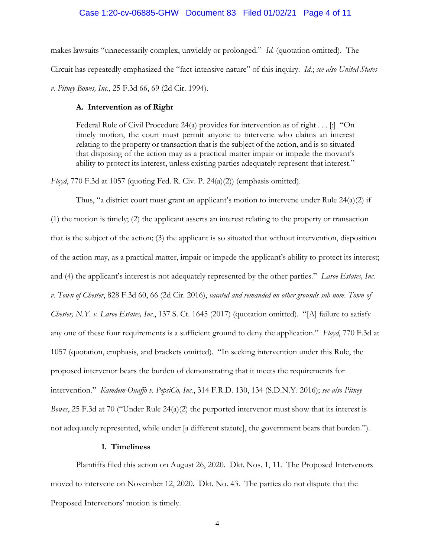#### Case 1:20-cv-06885-GHW Document 83 Filed 01/02/21 Page 4 of 11

makes lawsuits "unnecessarily complex, unwieldy or prolonged." *Id.* (quotation omitted). The Circuit has repeatedly emphasized the "fact-intensive nature" of this inquiry. *Id.*; *see also United States v. Pitney Bowes, Inc.*, 25 F.3d 66, 69 (2d Cir. 1994).

#### **A. Intervention as of Right**

Federal Rule of Civil Procedure 24(a) provides for intervention as of right  $\dots$  [:] "On timely motion, the court must permit anyone to intervene who claims an interest relating to the property or transaction that is the subject of the action, and is so situated that disposing of the action may as a practical matter impair or impede the movant's ability to protect its interest, unless existing parties adequately represent that interest."

*Floyd*, 770 F.3d at 1057 (quoting Fed. R. Civ. P. 24(a)(2)) (emphasis omitted).

Thus, "a district court must grant an applicant's motion to intervene under Rule  $24(a)(2)$  if (1) the motion is timely; (2) the applicant asserts an interest relating to the property or transaction that is the subject of the action; (3) the applicant is so situated that without intervention, disposition of the action may, as a practical matter, impair or impede the applicant's ability to protect its interest; and (4) the applicant's interest is not adequately represented by the other parties." *Laroe Estates, Inc. v. Town of Chester*, 828 F.3d 60, 66 (2d Cir. 2016), *vacated and remanded on other grounds sub nom. Town of Chester, N.Y. v. Laroe Estates, Inc.*, 137 S. Ct. 1645 (2017) (quotation omitted). "[A] failure to satisfy any one of these four requirements is a sufficient ground to deny the application." *Floyd*, 770 F.3d at 1057 (quotation, emphasis, and brackets omitted). "In seeking intervention under this Rule, the proposed intervenor bears the burden of demonstrating that it meets the requirements for intervention." *Kamdem-Ouaffo v. PepsiCo, Inc.*, 314 F.R.D. 130, 134 (S.D.N.Y. 2016); *see also Pitney Bowes*, 25 F.3d at 70 ("Under Rule 24(a)(2) the purported intervenor must show that its interest is not adequately represented, while under [a different statute], the government bears that burden.").

### **1. Timeliness**

Plaintiffs filed this action on August 26, 2020. Dkt. Nos. 1, 11. The Proposed Intervenors moved to intervene on November 12, 2020. Dkt. No. 43. The parties do not dispute that the Proposed Intervenors' motion is timely.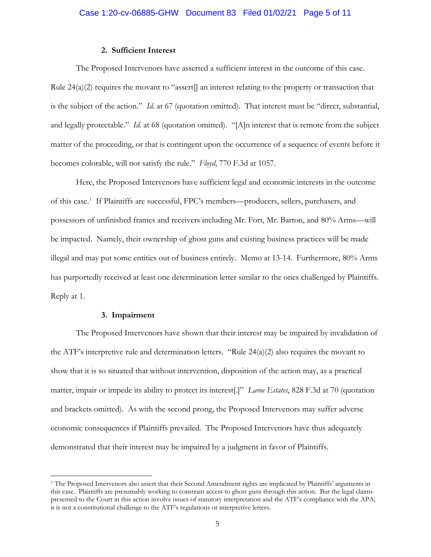### **2. Sufficient Interest**

The Proposed Intervenors have asserted a sufficient interest in the outcome of this case. Rule  $24(a)(2)$  requires the movant to "assert] an interest relating to the property or transaction that is the subject of the action." *Id.* at 67 (quotation omitted). That interest must be "direct, substantial, and legally protectable." *Id.* at 68 (quotation omitted). "[A]n interest that is remote from the subject matter of the proceeding, or that is contingent upon the occurrence of a sequence of events before it becomes colorable, will not satisfy the rule." *Floyd*, 770 F.3d at 1057.

Here, the Proposed Intervenors have sufficient legal and economic interests in the outcome of this case.<sup>1</sup> If Plaintiffs are successful, FPC's members—producers, sellers, purchasers, and possessors of unfinished frames and receivers including Mr. Fort, Mr. Barton, and 80% Arms—will be impacted. Namely, their ownership of ghost guns and existing business practices will be made illegal and may put some entities out of business entirely. Memo at 13-14. Furthermore, 80% Arms has purportedly received at least one determination letter similar to the ones challenged by Plaintiffs. Reply at 1.

### **3. Impairment**

The Proposed Intervenors have shown that their interest may be impaired by invalidation of the ATF's interpretive rule and determination letters. "Rule  $24(a)(2)$  also requires the movant to show that it is so situated that without intervention, disposition of the action may, as a practical matter, impair or impede its ability to protect its interest[.]" *Laroe Estates*, 828 F.3d at 70 (quotation and brackets omitted). As with the second prong, the Proposed Intervenors may suffer adverse economic consequences if Plaintiffs prevailed. The Proposed Intervenors have thus adequately demonstrated that their interest may be impaired by a judgment in favor of Plaintiffs.

<sup>&</sup>lt;sup>1</sup> The Proposed Intervenors also assert that their Second Amendment rights are implicated by Plaintiffs' arguments in this case. Plaintiffs are presumably working to constrain access to ghost guns through this action. But the legal claims presented to the Court in this action involve issues of statutory interpretation and the ATF's compliance with the APA; it is not a constitutional challenge to the ATF's regulations or interpretive letters.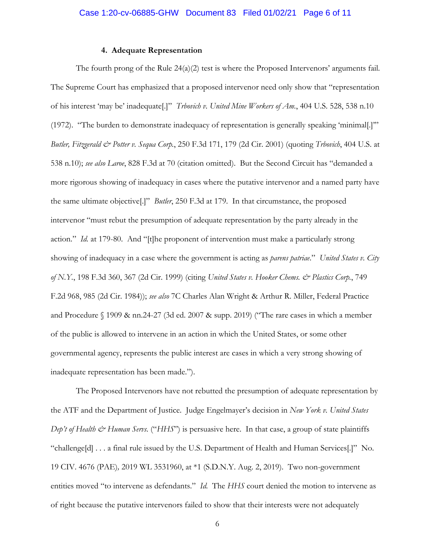#### **4. Adequate Representation**

The fourth prong of the Rule  $24(a)(2)$  test is where the Proposed Intervenors' arguments fail. The Supreme Court has emphasized that a proposed intervenor need only show that "representation of his interest 'may be' inadequate[.]" *Trbovich v. United Mine Workers of Am.*, 404 U.S. 528, 538 n.10 (1972). "The burden to demonstrate inadequacy of representation is generally speaking 'minimal[.]'" *Butler, Fitzgerald & Potter v. Sequa Corp.*, 250 F.3d 171, 179 (2d Cir. 2001) (quoting *Trbovich*, 404 U.S. at 538 n.10); *see also Laroe*, 828 F.3d at 70 (citation omitted). But the Second Circuit has "demanded a more rigorous showing of inadequacy in cases where the putative intervenor and a named party have the same ultimate objective[.]" *Butler*, 250 F.3d at 179. In that circumstance, the proposed intervenor "must rebut the presumption of adequate representation by the party already in the action." *Id.* at 179-80. And "[t]he proponent of intervention must make a particularly strong showing of inadequacy in a case where the government is acting as *parens patriae*." *United States v. City of N.Y.*, 198 F.3d 360, 367 (2d Cir. 1999) (citing *United States v. Hooker Chems. & Plastics Corp.*, 749 F.2d 968, 985 (2d Cir. 1984)); *see also* 7C Charles Alan Wright & Arthur R. Miller, Federal Practice and Procedure § 1909 & nn.24-27 (3d ed. 2007 & supp. 2019) ("The rare cases in which a member of the public is allowed to intervene in an action in which the United States, or some other governmental agency, represents the public interest are cases in which a very strong showing of inadequate representation has been made.").

The Proposed Intervenors have not rebutted the presumption of adequate representation by the ATF and the Department of Justice. Judge Engelmayer's decision in *New York v. United States Dep't of Health & Human Servs.* ("*HHS*") is persuasive here. In that case, a group of state plaintiffs "challenge[d] . . . a final rule issued by the U.S. Department of Health and Human Services[.]"No. 19 CIV. 4676 (PAE)*,* 2019 WL 3531960, at \*1 (S.D.N.Y. Aug. 2, 2019). Two non-government entities moved "to intervene as defendants." *Id.* The *HHS* court denied the motion to intervene as of right because the putative intervenors failed to show that their interests were not adequately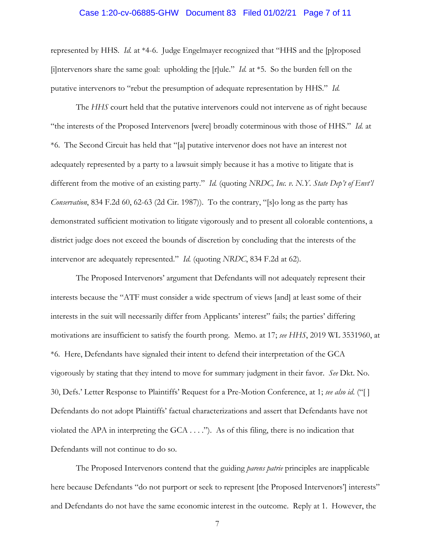## Case 1:20-cv-06885-GHW Document 83 Filed 01/02/21 Page 7 of 11

represented by HHS. *Id.* at \*4-6. Judge Engelmayer recognized that "HHS and the [p]roposed [i]ntervenors share the same goal: upholding the [r]ule." *Id.* at \*5. So the burden fell on the putative intervenors to "rebut the presumption of adequate representation by HHS." *Id.*

 The *HHS* court held that the putative intervenors could not intervene as of right because "the interests of the Proposed Intervenors [were] broadly coterminous with those of HHS." *Id.* at \*6. The Second Circuit has held that "[a] putative intervenor does not have an interest not adequately represented by a party to a lawsuit simply because it has a motive to litigate that is different from the motive of an existing party." *Id.* (quoting *NRDC, Inc. v. N.Y. State Dep't of Envt'l Conservation*, 834 F.2d 60, 62-63 (2d Cir. 1987)). To the contrary, "[s]o long as the party has demonstrated sufficient motivation to litigate vigorously and to present all colorable contentions, a district judge does not exceed the bounds of discretion by concluding that the interests of the intervenor are adequately represented." *Id.* (quoting *NRDC*, 834 F.2d at 62).

The Proposed Intervenors' argument that Defendants will not adequately represent their interests because the "ATF must consider a wide spectrum of views [and] at least some of their interests in the suit will necessarily differ from Applicants' interest" fails; the parties' differing motivations are insufficient to satisfy the fourth prong. Memo. at 17; *see HHS*, 2019 WL 3531960, at \*6. Here, Defendants have signaled their intent to defend their interpretation of the GCA vigorously by stating that they intend to move for summary judgment in their favor. *See* Dkt. No. 30, Defs.' Letter Response to Plaintiffs' Request for a Pre-Motion Conference, at 1; *see also id*. ("[ ] Defendants do not adopt Plaintiffs' factual characterizations and assert that Defendants have not violated the APA in interpreting the  $GCA \dots$ "). As of this filing, there is no indication that Defendants will not continue to do so.

 The Proposed Intervenors contend that the guiding *parens patrie* principles are inapplicable here because Defendants "do not purport or seek to represent [the Proposed Intervenors'] interests" and Defendants do not have the same economic interest in the outcome. Reply at 1. However, the

7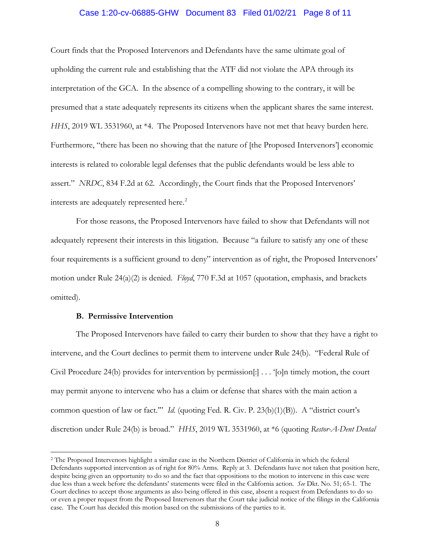## Case 1:20-cv-06885-GHW Document 83 Filed 01/02/21 Page 8 of 11

Court finds that the Proposed Intervenors and Defendants have the same ultimate goal of upholding the current rule and establishing that the ATF did not violate the APA through its interpretation of the GCA. In the absence of a compelling showing to the contrary, it will be presumed that a state adequately represents its citizens when the applicant shares the same interest. *HHS*, 2019 WL 3531960, at \*4. The Proposed Intervenors have not met that heavy burden here. Furthermore, "there has been no showing that the nature of [the Proposed Intervenors'] economic interests is related to colorable legal defenses that the public defendants would be less able to assert." *NRDC*, 834 F.2d at 62. Accordingly, the Court finds that the Proposed Intervenors' interests are adequately represented here.<sup>2</sup>

For those reasons, the Proposed Intervenors have failed to show that Defendants will not adequately represent their interests in this litigation. Because "a failure to satisfy any one of these four requirements is a sufficient ground to deny" intervention as of right, the Proposed Intervenors' motion under Rule 24(a)(2) is denied. *Floyd*, 770 F.3d at 1057 (quotation, emphasis, and brackets omitted).

### **B. Permissive Intervention**

The Proposed Intervenors have failed to carry their burden to show that they have a right to intervene, and the Court declines to permit them to intervene under Rule 24(b). "Federal Rule of Civil Procedure 24(b) provides for intervention by permission[:] . . . '[o]n timely motion, the court may permit anyone to intervene who has a claim or defense that shares with the main action a common question of law or fact.'" *Id.* (quoting Fed. R. Civ. P. 23(b)(1)(B)). A "district court's discretion under Rule 24(b) is broad." *HHS*, 2019 WL 3531960, at \*6 (quoting *Restor-A-Dent Dental* 

<sup>2</sup> The Proposed Intervenors highlight a similar case in the Northern District of California in which the federal Defendants supported intervention as of right for 80% Arms. Reply at 3. Defendants have not taken that position here, despite being given an opportunity to do so and the fact that oppositions to the motion to intervene in this case were due less than a week before the defendants' statements were filed in the California action. *See* Dkt. No. 51; 65-1. The Court declines to accept those arguments as also being offered in this case, absent a request from Defendants to do so or even a proper request from the Proposed Intervenors that the Court take judicial notice of the filings in the California case. The Court has decided this motion based on the submissions of the parties to it.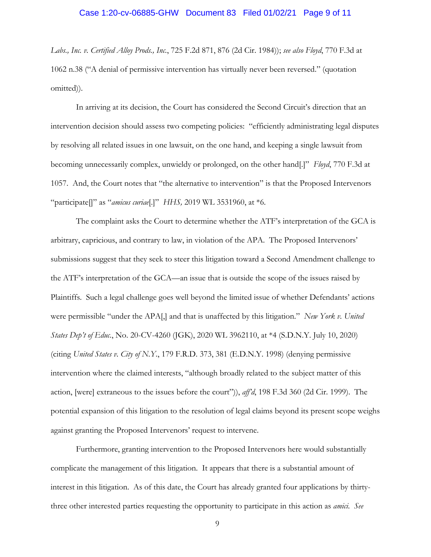## Case 1:20-cv-06885-GHW Document 83 Filed 01/02/21 Page 9 of 11

*Labs., Inc. v. Certified Alloy Prods., Inc.*, 725 F.2d 871, 876 (2d Cir. 1984)); *see also Floyd*, 770 F.3d at 1062 n.38 ("A denial of permissive intervention has virtually never been reversed." (quotation omitted)).

In arriving at its decision, the Court has considered the Second Circuit's direction that an intervention decision should assess two competing policies: "efficiently administrating legal disputes by resolving all related issues in one lawsuit, on the one hand, and keeping a single lawsuit from becoming unnecessarily complex, unwieldy or prolonged, on the other hand[.]" *Floyd*, 770 F.3d at 1057. And, the Court notes that "the alternative to intervention" is that the Proposed Intervenors "participate[]" as "*amicus curiae*[.]" *HHS,* 2019 WL 3531960, at \*6.

The complaint asks the Court to determine whether the ATF's interpretation of the GCA is arbitrary, capricious, and contrary to law, in violation of the APA. The Proposed Intervenors' submissions suggest that they seek to steer this litigation toward a Second Amendment challenge to the ATF's interpretation of the GCA—an issue that is outside the scope of the issues raised by Plaintiffs. Such a legal challenge goes well beyond the limited issue of whether Defendants' actions were permissible "under the APA[,] and that is unaffected by this litigation." *New York v. United States Dep't of Educ.*, No. 20-CV-4260 (JGK), 2020 WL 3962110, at \*4 (S.D.N.Y. July 10, 2020) (citing *United States v. City of N.Y.*, 179 F.R.D. 373, 381 (E.D.N.Y. 1998) (denying permissive intervention where the claimed interests, "although broadly related to the subject matter of this action, [were] extraneous to the issues before the court")), *aff'd*, 198 F.3d 360 (2d Cir. 1999). The potential expansion of this litigation to the resolution of legal claims beyond its present scope weighs against granting the Proposed Intervenors' request to intervene.

Furthermore, granting intervention to the Proposed Intervenors here would substantially complicate the management of this litigation. It appears that there is a substantial amount of interest in this litigation. As of this date, the Court has already granted four applications by thirtythree other interested parties requesting the opportunity to participate in this action as *amici*. *See*

9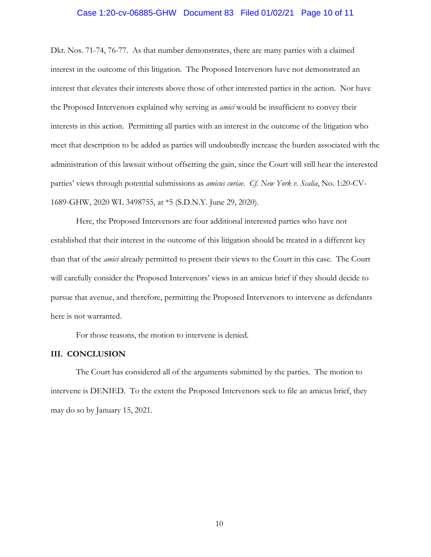## Case 1:20-cv-06885-GHW Document 83 Filed 01/02/21 Page 10 of 11

Dkt. Nos. 71-74, 76-77. As that number demonstrates, there are many parties with a claimed interest in the outcome of this litigation. The Proposed Intervenors have not demonstrated an interest that elevates their interests above those of other interested parties in the action. Nor have the Proposed Intervenors explained why serving as *amici* would be insufficient to convey their interests in this action. Permitting all parties with an interest in the outcome of the litigation who meet that description to be added as parties will undoubtedly increase the burden associated with the administration of this lawsuit without offsetting the gain, since the Court will still hear the interested parties' views through potential submissions as *amicus curiae*. *Cf. New York v. Scalia*, No. 1:20-CV-1689-GHW, 2020 WL 3498755, at \*5 (S.D.N.Y. June 29, 2020).

Here, the Proposed Intervenors are four additional interested parties who have not established that their interest in the outcome of this litigation should be treated in a different key than that of the *amici* already permitted to present their views to the Court in this case. The Court will carefully consider the Proposed Intervenors' views in an amicus brief if they should decide to pursue that avenue, and therefore, permitting the Proposed Intervenors to intervene as defendants here is not warranted.

For those reasons, the motion to intervene is denied.

#### **III. CONCLUSION**

The Court has considered all of the arguments submitted by the parties. The motion to intervene is DENIED. To the extent the Proposed Intervenors seek to file an amicus brief, they may do so by January 15, 2021.